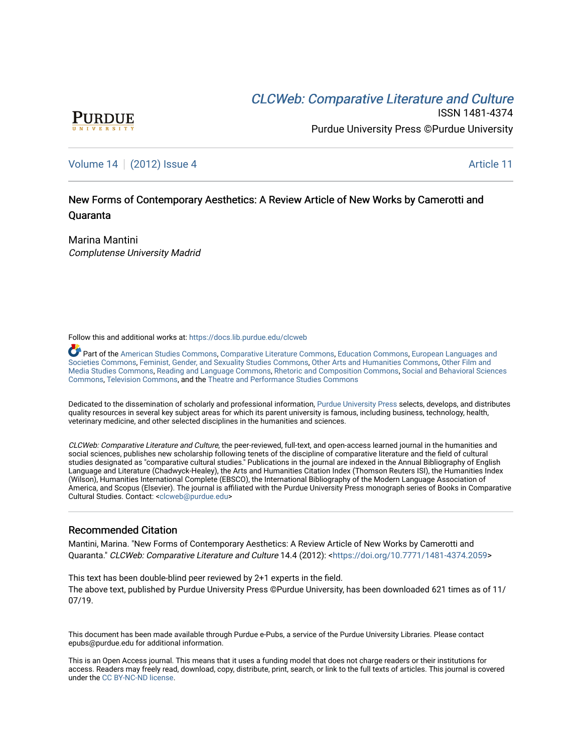# CLCW[eb: Comparative Liter](https://docs.lib.purdue.edu/clcweb)ature and Culture



ISSN 1481-4374 Purdue University Press ©Purdue University

## [Volume 14](https://docs.lib.purdue.edu/clcweb/vol14) | [\(2012\) Issue 4](https://docs.lib.purdue.edu/clcweb/vol14/iss4) Article 11

# New Forms of Contemporary Aesthetics: A Review Article of New Works by Camerotti and Quaranta

Marina Mantini Complutense University Madrid

Follow this and additional works at: [https://docs.lib.purdue.edu/clcweb](https://docs.lib.purdue.edu/clcweb?utm_source=docs.lib.purdue.edu%2Fclcweb%2Fvol14%2Fiss4%2F11&utm_medium=PDF&utm_campaign=PDFCoverPages)

Part of the [American Studies Commons](http://network.bepress.com/hgg/discipline/439?utm_source=docs.lib.purdue.edu%2Fclcweb%2Fvol14%2Fiss4%2F11&utm_medium=PDF&utm_campaign=PDFCoverPages), [Comparative Literature Commons,](http://network.bepress.com/hgg/discipline/454?utm_source=docs.lib.purdue.edu%2Fclcweb%2Fvol14%2Fiss4%2F11&utm_medium=PDF&utm_campaign=PDFCoverPages) [Education Commons,](http://network.bepress.com/hgg/discipline/784?utm_source=docs.lib.purdue.edu%2Fclcweb%2Fvol14%2Fiss4%2F11&utm_medium=PDF&utm_campaign=PDFCoverPages) [European Languages and](http://network.bepress.com/hgg/discipline/482?utm_source=docs.lib.purdue.edu%2Fclcweb%2Fvol14%2Fiss4%2F11&utm_medium=PDF&utm_campaign=PDFCoverPages) [Societies Commons](http://network.bepress.com/hgg/discipline/482?utm_source=docs.lib.purdue.edu%2Fclcweb%2Fvol14%2Fiss4%2F11&utm_medium=PDF&utm_campaign=PDFCoverPages), [Feminist, Gender, and Sexuality Studies Commons,](http://network.bepress.com/hgg/discipline/559?utm_source=docs.lib.purdue.edu%2Fclcweb%2Fvol14%2Fiss4%2F11&utm_medium=PDF&utm_campaign=PDFCoverPages) [Other Arts and Humanities Commons](http://network.bepress.com/hgg/discipline/577?utm_source=docs.lib.purdue.edu%2Fclcweb%2Fvol14%2Fiss4%2F11&utm_medium=PDF&utm_campaign=PDFCoverPages), [Other Film and](http://network.bepress.com/hgg/discipline/565?utm_source=docs.lib.purdue.edu%2Fclcweb%2Fvol14%2Fiss4%2F11&utm_medium=PDF&utm_campaign=PDFCoverPages)  [Media Studies Commons](http://network.bepress.com/hgg/discipline/565?utm_source=docs.lib.purdue.edu%2Fclcweb%2Fvol14%2Fiss4%2F11&utm_medium=PDF&utm_campaign=PDFCoverPages), [Reading and Language Commons](http://network.bepress.com/hgg/discipline/1037?utm_source=docs.lib.purdue.edu%2Fclcweb%2Fvol14%2Fiss4%2F11&utm_medium=PDF&utm_campaign=PDFCoverPages), [Rhetoric and Composition Commons,](http://network.bepress.com/hgg/discipline/573?utm_source=docs.lib.purdue.edu%2Fclcweb%2Fvol14%2Fiss4%2F11&utm_medium=PDF&utm_campaign=PDFCoverPages) [Social and Behavioral Sciences](http://network.bepress.com/hgg/discipline/316?utm_source=docs.lib.purdue.edu%2Fclcweb%2Fvol14%2Fiss4%2F11&utm_medium=PDF&utm_campaign=PDFCoverPages) [Commons,](http://network.bepress.com/hgg/discipline/316?utm_source=docs.lib.purdue.edu%2Fclcweb%2Fvol14%2Fiss4%2F11&utm_medium=PDF&utm_campaign=PDFCoverPages) [Television Commons,](http://network.bepress.com/hgg/discipline/1143?utm_source=docs.lib.purdue.edu%2Fclcweb%2Fvol14%2Fiss4%2F11&utm_medium=PDF&utm_campaign=PDFCoverPages) and the [Theatre and Performance Studies Commons](http://network.bepress.com/hgg/discipline/552?utm_source=docs.lib.purdue.edu%2Fclcweb%2Fvol14%2Fiss4%2F11&utm_medium=PDF&utm_campaign=PDFCoverPages)

Dedicated to the dissemination of scholarly and professional information, [Purdue University Press](http://www.thepress.purdue.edu/) selects, develops, and distributes quality resources in several key subject areas for which its parent university is famous, including business, technology, health, veterinary medicine, and other selected disciplines in the humanities and sciences.

CLCWeb: Comparative Literature and Culture, the peer-reviewed, full-text, and open-access learned journal in the humanities and social sciences, publishes new scholarship following tenets of the discipline of comparative literature and the field of cultural studies designated as "comparative cultural studies." Publications in the journal are indexed in the Annual Bibliography of English Language and Literature (Chadwyck-Healey), the Arts and Humanities Citation Index (Thomson Reuters ISI), the Humanities Index (Wilson), Humanities International Complete (EBSCO), the International Bibliography of the Modern Language Association of America, and Scopus (Elsevier). The journal is affiliated with the Purdue University Press monograph series of Books in Comparative Cultural Studies. Contact: [<clcweb@purdue.edu](mailto:clcweb@purdue.edu)>

### Recommended Citation

Mantini, Marina. "New Forms of Contemporary Aesthetics: A Review Article of New Works by Camerotti and Quaranta." CLCWeb: Comparative Literature and Culture 14.4 (2012): [<https://doi.org/10.7771/1481-4374.2059>](https://doi.org/10.7771/1481-4374.2059)

This text has been double-blind peer reviewed by 2+1 experts in the field. The above text, published by Purdue University Press ©Purdue University, has been downloaded 621 times as of 11/ 07/19.

This document has been made available through Purdue e-Pubs, a service of the Purdue University Libraries. Please contact epubs@purdue.edu for additional information.

This is an Open Access journal. This means that it uses a funding model that does not charge readers or their institutions for access. Readers may freely read, download, copy, distribute, print, search, or link to the full texts of articles. This journal is covered under the [CC BY-NC-ND license.](https://creativecommons.org/licenses/by-nc-nd/4.0/)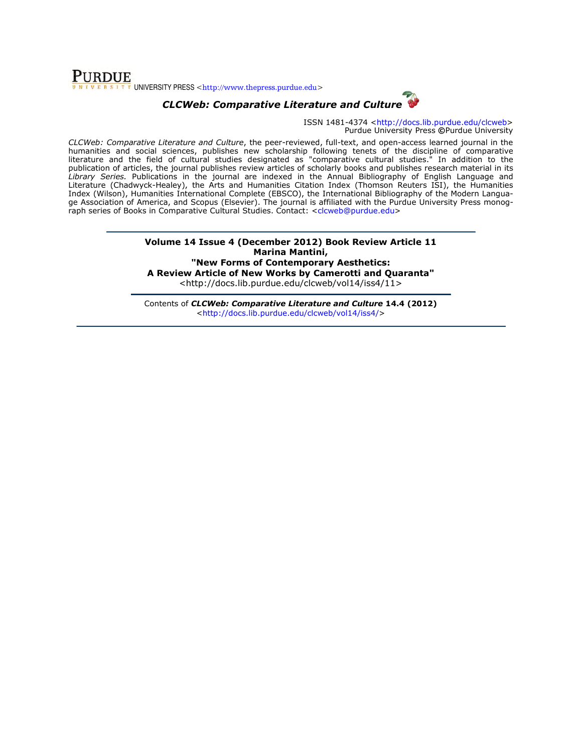## **PURDUE** UNIVERSITY PRESS <http://www.thepress.purdue.edu>



ISSN 1481-4374 <http://docs.lib.purdue.edu/clcweb> Purdue University Press ©Purdue University

CLCWeb: Comparative Literature and Culture, the peer-reviewed, full-text, and open-access learned journal in the humanities and social sciences, publishes new scholarship following tenets of the discipline of comparative literature and the field of cultural studies designated as "comparative cultural studies." In addition to the publication of articles, the journal publishes review articles of scholarly books and publishes research material in its Library Series. Publications in the journal are indexed in the Annual Bibliography of English Language and Literature (Chadwyck-Healey), the Arts and Humanities Citation Index (Thomson Reuters ISI), the Humanities Index (Wilson), Humanities International Complete (EBSCO), the International Bibliography of the Modern Language Association of America, and Scopus (Elsevier). The journal is affiliated with the Purdue University Press monograph series of Books in Comparative Cultural Studies. Contact: <clcweb@purdue.edu>

> Volume 14 Issue 4 (December 2012) Book Review Article 11 Marina Mantini, "New Forms of Contemporary Aesthetics: A Review Article of New Works by Camerotti and Quaranta" <http://docs.lib.purdue.edu/clcweb/vol14/iss4/11>

> Contents of CLCWeb: Comparative Literature and Culture 14.4 (2012) <http://docs.lib.purdue.edu/clcweb/vol14/iss4/>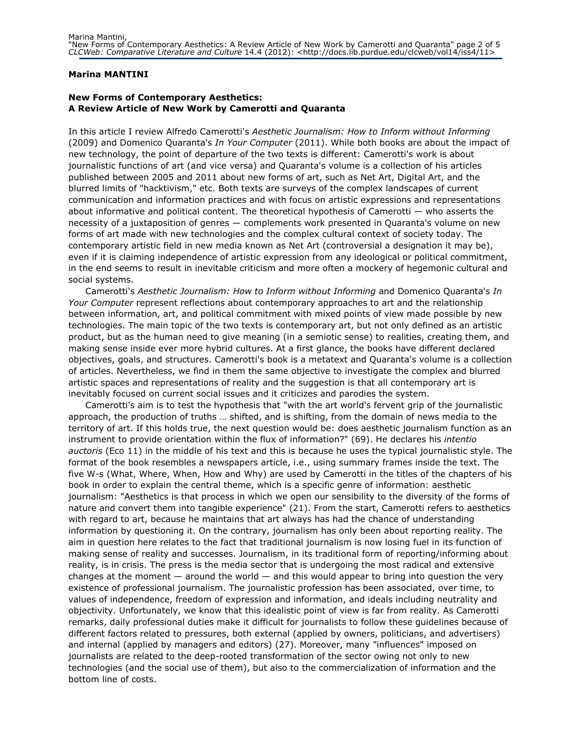#### Marina MANTINI

#### New Forms of Contemporary Aesthetics: A Review Article of New Work by Camerotti and Quaranta

In this article I review Alfredo Camerotti's Aesthetic Journalism: How to Inform without Informing (2009) and Domenico Quaranta's In Your Computer (2011). While both books are about the impact of new technology, the point of departure of the two texts is different: Camerotti's work is about journalistic functions of art (and vice versa) and Quaranta's volume is a collection of his articles published between 2005 and 2011 about new forms of art, such as Net Art, Digital Art, and the blurred limits of "hacktivism," etc. Both texts are surveys of the complex landscapes of current communication and information practices and with focus on artistic expressions and representations about informative and political content. The theoretical hypothesis of Camerotti — who asserts the necessity of a juxtaposition of genres — complements work presented in Quaranta's volume on new forms of art made with new technologies and the complex cultural context of society today. The contemporary artistic field in new media known as Net Art (controversial a designation it may be), even if it is claiming independence of artistic expression from any ideological or political commitment, in the end seems to result in inevitable criticism and more often a mockery of hegemonic cultural and social systems.

Camerotti's Aesthetic Journalism: How to Inform without Informing and Domenico Quaranta's In Your Computer represent reflections about contemporary approaches to art and the relationship between information, art, and political commitment with mixed points of view made possible by new technologies. The main topic of the two texts is contemporary art, but not only defined as an artistic product, but as the human need to give meaning (in a semiotic sense) to realities, creating them, and making sense inside ever more hybrid cultures. At a first glance, the books have different declared objectives, goals, and structures. Camerotti's book is a metatext and Quaranta's volume is a collection of articles. Nevertheless, we find in them the same objective to investigate the complex and blurred artistic spaces and representations of reality and the suggestion is that all contemporary art is inevitably focused on current social issues and it criticizes and parodies the system.

Camerotti's aim is to test the hypothesis that "with the art world's fervent grip of the journalistic approach, the production of truths … shifted, and is shifting, from the domain of news media to the territory of art. If this holds true, the next question would be: does aesthetic journalism function as an instrument to provide orientation within the flux of information?" (69). He declares his intentio auctoris (Eco 11) in the middle of his text and this is because he uses the typical journalistic style. The format of the book resembles a newspapers article, i.e., using summary frames inside the text. The five W-s (What, Where, When, How and Why) are used by Camerotti in the titles of the chapters of his book in order to explain the central theme, which is a specific genre of information: aesthetic journalism: "Aesthetics is that process in which we open our sensibility to the diversity of the forms of nature and convert them into tangible experience" (21). From the start, Camerotti refers to aesthetics with regard to art, because he maintains that art always has had the chance of understanding information by questioning it. On the contrary, journalism has only been about reporting reality. The aim in question here relates to the fact that traditional journalism is now losing fuel in its function of making sense of reality and successes. Journalism, in its traditional form of reporting/informing about reality, is in crisis. The press is the media sector that is undergoing the most radical and extensive changes at the moment  $-$  around the world  $-$  and this would appear to bring into question the very existence of professional journalism. The journalistic profession has been associated, over time, to values of independence, freedom of expression and information, and ideals including neutrality and objectivity. Unfortunately, we know that this idealistic point of view is far from reality. As Camerotti remarks, daily professional duties make it difficult for journalists to follow these guidelines because of different factors related to pressures, both external (applied by owners, politicians, and advertisers) and internal (applied by managers and editors) (27). Moreover, many "influences" imposed on journalists are related to the deep-rooted transformation of the sector owing not only to new technologies (and the social use of them), but also to the commercialization of information and the bottom line of costs.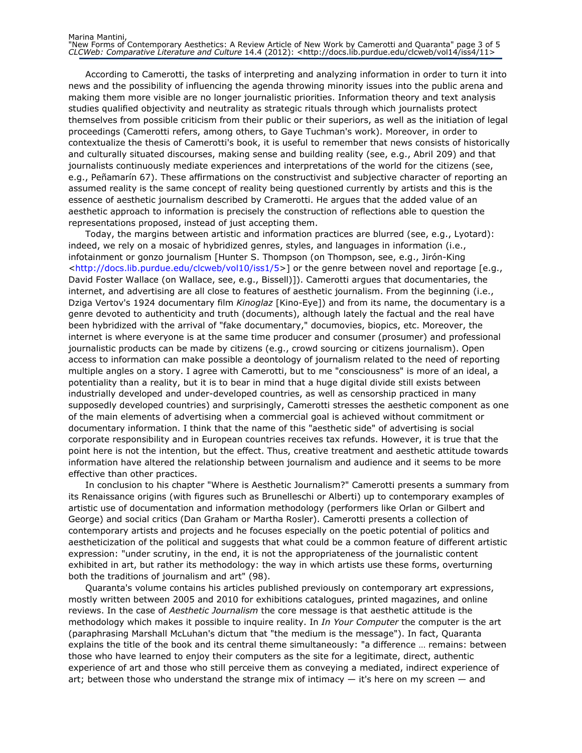According to Camerotti, the tasks of interpreting and analyzing information in order to turn it into news and the possibility of influencing the agenda throwing minority issues into the public arena and making them more visible are no longer journalistic priorities. Information theory and text analysis studies qualified objectivity and neutrality as strategic rituals through which journalists protect themselves from possible criticism from their public or their superiors, as well as the initiation of legal proceedings (Camerotti refers, among others, to Gaye Tuchman's work). Moreover, in order to contextualize the thesis of Camerotti's book, it is useful to remember that news consists of historically and culturally situated discourses, making sense and building reality (see, e.g., Abril 209) and that journalists continuously mediate experiences and interpretations of the world for the citizens (see, e.g., Peñamarín 67). These affirmations on the constructivist and subjective character of reporting an assumed reality is the same concept of reality being questioned currently by artists and this is the essence of aesthetic journalism described by Cramerotti. He argues that the added value of an aesthetic approach to information is precisely the construction of reflections able to question the representations proposed, instead of just accepting them.

Today, the margins between artistic and information practices are blurred (see, e.g., Lyotard): indeed, we rely on a mosaic of hybridized genres, styles, and languages in information (i.e., infotainment or gonzo journalism [Hunter S. Thompson (on Thompson, see, e.g., Jirón-King  $\text{~d}$  -thttp://docs.lib.purdue.edu/clcweb/vol10/iss1/5>] or the genre between novel and reportage [e.g., David Foster Wallace (on Wallace, see, e.g., Bissell)]). Camerotti argues that documentaries, the internet, and advertising are all close to features of aesthetic journalism. From the beginning (i.e., Dziga Vertov's 1924 documentary film Kinoglaz [Kino-Eye]) and from its name, the documentary is a genre devoted to authenticity and truth (documents), although lately the factual and the real have been hybridized with the arrival of "fake documentary," documovies, biopics, etc. Moreover, the internet is where everyone is at the same time producer and consumer (prosumer) and professional journalistic products can be made by citizens (e.g., crowd sourcing or citizens journalism). Open access to information can make possible a deontology of journalism related to the need of reporting multiple angles on a story. I agree with Camerotti, but to me "consciousness" is more of an ideal, a potentiality than a reality, but it is to bear in mind that a huge digital divide still exists between industrially developed and under-developed countries, as well as censorship practiced in many supposedly developed countries) and surprisingly, Camerotti stresses the aesthetic component as one of the main elements of advertising when a commercial goal is achieved without commitment or documentary information. I think that the name of this "aesthetic side" of advertising is social corporate responsibility and in European countries receives tax refunds. However, it is true that the point here is not the intention, but the effect. Thus, creative treatment and aesthetic attitude towards information have altered the relationship between journalism and audience and it seems to be more effective than other practices.

In conclusion to his chapter "Where is Aesthetic Journalism?" Camerotti presents a summary from its Renaissance origins (with figures such as Brunelleschi or Alberti) up to contemporary examples of artistic use of documentation and information methodology (performers like Orlan or Gilbert and George) and social critics (Dan Graham or Martha Rosler). Camerotti presents a collection of contemporary artists and projects and he focuses especially on the poetic potential of politics and aestheticization of the political and suggests that what could be a common feature of different artistic expression: "under scrutiny, in the end, it is not the appropriateness of the journalistic content exhibited in art, but rather its methodology: the way in which artists use these forms, overturning both the traditions of journalism and art" (98).

Quaranta's volume contains his articles published previously on contemporary art expressions, mostly written between 2005 and 2010 for exhibitions catalogues, printed magazines, and online reviews. In the case of Aesthetic Journalism the core message is that aesthetic attitude is the methodology which makes it possible to inquire reality. In In Your Computer the computer is the art (paraphrasing Marshall McLuhan's dictum that "the medium is the message"). In fact, Quaranta explains the title of the book and its central theme simultaneously: "a difference … remains: between those who have learned to enjoy their computers as the site for a legitimate, direct, authentic experience of art and those who still perceive them as conveying a mediated, indirect experience of art; between those who understand the strange mix of intimacy — it's here on my screen — and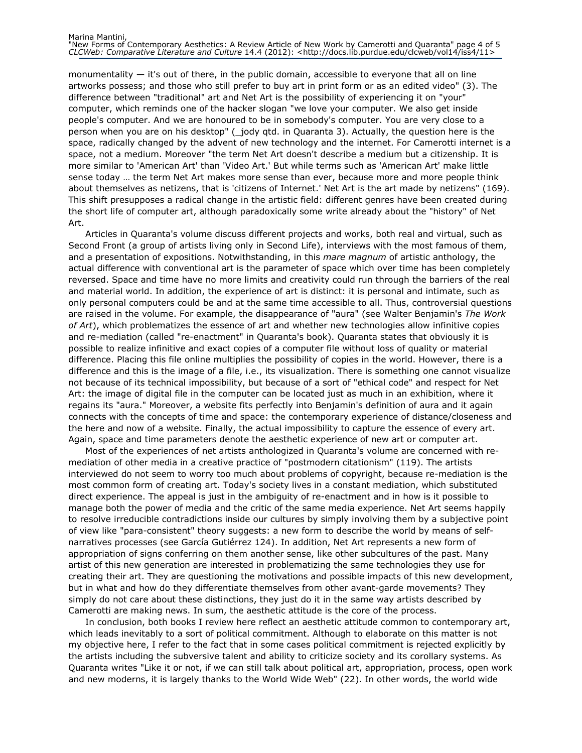monumentality  $-$  it's out of there, in the public domain, accessible to everyone that all on line artworks possess; and those who still prefer to buy art in print form or as an edited video" (3). The difference between "traditional" art and Net Art is the possibility of experiencing it on "your" computer, which reminds one of the hacker slogan "we love your computer. We also get inside people's computer. And we are honoured to be in somebody's computer. You are very close to a person when you are on his desktop" ( jody gtd. in Quaranta 3). Actually, the question here is the space, radically changed by the advent of new technology and the internet. For Camerotti internet is a space, not a medium. Moreover "the term Net Art doesn't describe a medium but a citizenship. It is more similar to 'American Art' than 'Video Art.' But while terms such as 'American Art' make little sense today … the term Net Art makes more sense than ever, because more and more people think about themselves as netizens, that is 'citizens of Internet.' Net Art is the art made by netizens" (169). This shift presupposes a radical change in the artistic field: different genres have been created during the short life of computer art, although paradoxically some write already about the "history" of Net Art.

Articles in Quaranta's volume discuss different projects and works, both real and virtual, such as Second Front (a group of artists living only in Second Life), interviews with the most famous of them, and a presentation of expositions. Notwithstanding, in this mare magnum of artistic anthology, the actual difference with conventional art is the parameter of space which over time has been completely reversed. Space and time have no more limits and creativity could run through the barriers of the real and material world. In addition, the experience of art is distinct: it is personal and intimate, such as only personal computers could be and at the same time accessible to all. Thus, controversial questions are raised in the volume. For example, the disappearance of "aura" (see Walter Benjamin's The Work of Art), which problematizes the essence of art and whether new technologies allow infinitive copies and re-mediation (called "re-enactment" in Quaranta's book). Quaranta states that obviously it is possible to realize infinitive and exact copies of a computer file without loss of quality or material difference. Placing this file online multiplies the possibility of copies in the world. However, there is a difference and this is the image of a file, i.e., its visualization. There is something one cannot visualize not because of its technical impossibility, but because of a sort of "ethical code" and respect for Net Art: the image of digital file in the computer can be located just as much in an exhibition, where it regains its "aura." Moreover, a website fits perfectly into Benjamin's definition of aura and it again connects with the concepts of time and space: the contemporary experience of distance/closeness and the here and now of a website. Finally, the actual impossibility to capture the essence of every art. Again, space and time parameters denote the aesthetic experience of new art or computer art.

Most of the experiences of net artists anthologized in Quaranta's volume are concerned with remediation of other media in a creative practice of "postmodern citationism" (119). The artists interviewed do not seem to worry too much about problems of copyright, because re-mediation is the most common form of creating art. Today's society lives in a constant mediation, which substituted direct experience. The appeal is just in the ambiguity of re-enactment and in how is it possible to manage both the power of media and the critic of the same media experience. Net Art seems happily to resolve irreducible contradictions inside our cultures by simply involving them by a subjective point of view like "para-consistent" theory suggests: a new form to describe the world by means of selfnarratives processes (see García Gutiérrez 124). In addition, Net Art represents a new form of appropriation of signs conferring on them another sense, like other subcultures of the past. Many artist of this new generation are interested in problematizing the same technologies they use for creating their art. They are questioning the motivations and possible impacts of this new development, but in what and how do they differentiate themselves from other avant-garde movements? They simply do not care about these distinctions, they just do it in the same way artists described by Camerotti are making news. In sum, the aesthetic attitude is the core of the process.

In conclusion, both books I review here reflect an aesthetic attitude common to contemporary art, which leads inevitably to a sort of political commitment. Although to elaborate on this matter is not my objective here, I refer to the fact that in some cases political commitment is rejected explicitly by the artists including the subversive talent and ability to criticize society and its corollary systems. As Quaranta writes "Like it or not, if we can still talk about political art, appropriation, process, open work and new moderns, it is largely thanks to the World Wide Web" (22). In other words, the world wide